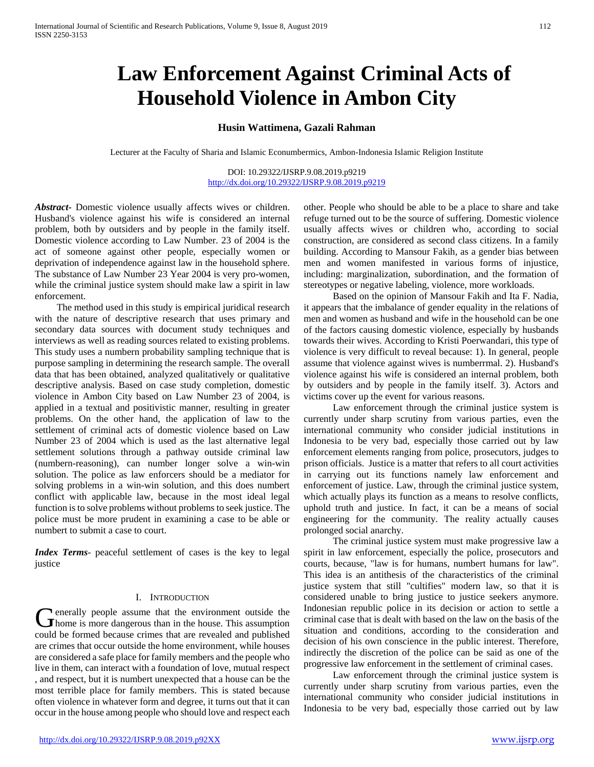# **Law Enforcement Against Criminal Acts of Household Violence in Ambon City**

## **Husin Wattimena, Gazali Rahman**

Lecturer at the Faculty of Sharia and Islamic Econumbermics, Ambon-Indonesia Islamic Religion Institute

DOI: 10.29322/IJSRP.9.08.2019.p9219 <http://dx.doi.org/10.29322/IJSRP.9.08.2019.p9219>

*Abstract***-** Domestic violence usually affects wives or children. Husband's violence against his wife is considered an internal problem, both by outsiders and by people in the family itself. Domestic violence according to Law Number. 23 of 2004 is the act of someone against other people, especially women or deprivation of independence against law in the household sphere. The substance of Law Number 23 Year 2004 is very pro-women, while the criminal justice system should make law a spirit in law enforcement.

 The method used in this study is empirical juridical research with the nature of descriptive research that uses primary and secondary data sources with document study techniques and interviews as well as reading sources related to existing problems. This study uses a numbern probability sampling technique that is purpose sampling in determining the research sample. The overall data that has been obtained, analyzed qualitatively or qualitative descriptive analysis. Based on case study completion, domestic violence in Ambon City based on Law Number 23 of 2004, is applied in a textual and positivistic manner, resulting in greater problems. On the other hand, the application of law to the settlement of criminal acts of domestic violence based on Law Number 23 of 2004 which is used as the last alternative legal settlement solutions through a pathway outside criminal law (numbern-reasoning), can number longer solve a win-win solution. The police as law enforcers should be a mediator for solving problems in a win-win solution, and this does numbert conflict with applicable law, because in the most ideal legal function is to solve problems without problems to seek justice. The police must be more prudent in examining a case to be able or numbert to submit a case to court.

*Index Terms*- peaceful settlement of cases is the key to legal justice

### I. INTRODUCTION

**Lenerally people assume that the environment outside the C**enerally people assume that the environment outside the home is more dangerous than in the house. This assumption could be formed because crimes that are revealed and published are crimes that occur outside the home environment, while houses are considered a safe place for family members and the people who live in them, can interact with a foundation of love, mutual respect , and respect, but it is numbert unexpected that a house can be the most terrible place for family members. This is stated because often violence in whatever form and degree, it turns out that it can occur in the house among people who should love and respect each

other. People who should be able to be a place to share and take refuge turned out to be the source of suffering. Domestic violence usually affects wives or children who, according to social construction, are considered as second class citizens. In a family building. According to Mansour Fakih, as a gender bias between men and women manifested in various forms of injustice, including: marginalization, subordination, and the formation of stereotypes or negative labeling, violence, more workloads.

 Based on the opinion of Mansour Fakih and Ita F. Nadia, it appears that the imbalance of gender equality in the relations of men and women as husband and wife in the household can be one of the factors causing domestic violence, especially by husbands towards their wives. According to Kristi Poerwandari, this type of violence is very difficult to reveal because: 1). In general, people assume that violence against wives is numberrmal. 2). Husband's violence against his wife is considered an internal problem, both by outsiders and by people in the family itself. 3). Actors and victims cover up the event for various reasons.

 Law enforcement through the criminal justice system is currently under sharp scrutiny from various parties, even the international community who consider judicial institutions in Indonesia to be very bad, especially those carried out by law enforcement elements ranging from police, prosecutors, judges to prison officials. Justice is a matter that refers to all court activities in carrying out its functions namely law enforcement and enforcement of justice. Law, through the criminal justice system, which actually plays its function as a means to resolve conflicts, uphold truth and justice. In fact, it can be a means of social engineering for the community. The reality actually causes prolonged social anarchy.

 The criminal justice system must make progressive law a spirit in law enforcement, especially the police, prosecutors and courts, because, "law is for humans, numbert humans for law". This idea is an antithesis of the characteristics of the criminal justice system that still "cultifies" modern law, so that it is considered unable to bring justice to justice seekers anymore. Indonesian republic police in its decision or action to settle a criminal case that is dealt with based on the law on the basis of the situation and conditions, according to the consideration and decision of his own conscience in the public interest. Therefore, indirectly the discretion of the police can be said as one of the progressive law enforcement in the settlement of criminal cases.

 Law enforcement through the criminal justice system is currently under sharp scrutiny from various parties, even the international community who consider judicial institutions in Indonesia to be very bad, especially those carried out by law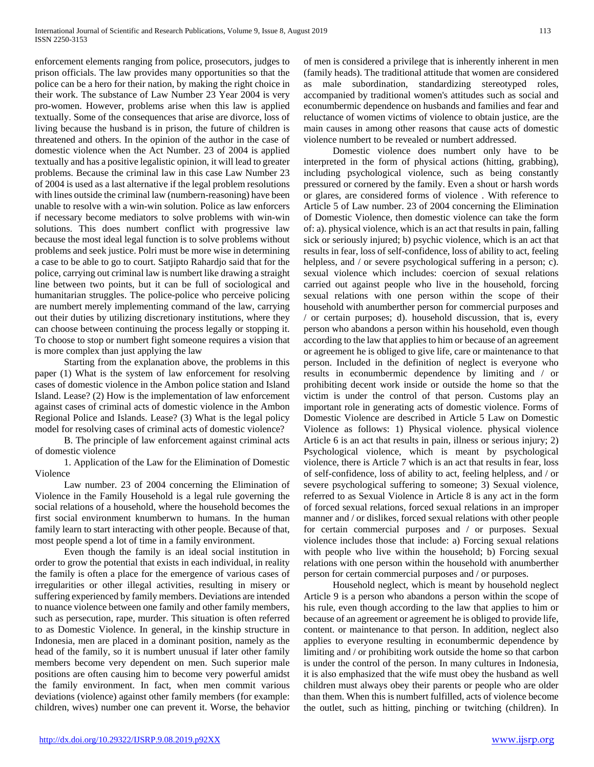enforcement elements ranging from police, prosecutors, judges to prison officials. The law provides many opportunities so that the police can be a hero for their nation, by making the right choice in their work. The substance of Law Number 23 Year 2004 is very pro-women. However, problems arise when this law is applied textually. Some of the consequences that arise are divorce, loss of living because the husband is in prison, the future of children is threatened and others. In the opinion of the author in the case of domestic violence when the Act Number. 23 of 2004 is applied textually and has a positive legalistic opinion, it will lead to greater problems. Because the criminal law in this case Law Number 23 of 2004 is used as a last alternative if the legal problem resolutions with lines outside the criminal law (numbern-reasoning) have been unable to resolve with a win-win solution. Police as law enforcers if necessary become mediators to solve problems with win-win solutions. This does numbert conflict with progressive law because the most ideal legal function is to solve problems without problems and seek justice. Polri must be more wise in determining a case to be able to go to court. Satjipto Rahardjo said that for the police, carrying out criminal law is numbert like drawing a straight line between two points, but it can be full of sociological and humanitarian struggles. The police-police who perceive policing are numbert merely implementing command of the law, carrying out their duties by utilizing discretionary institutions, where they can choose between continuing the process legally or stopping it. To choose to stop or numbert fight someone requires a vision that is more complex than just applying the law

 Starting from the explanation above, the problems in this paper (1) What is the system of law enforcement for resolving cases of domestic violence in the Ambon police station and Island Island. Lease? (2) How is the implementation of law enforcement against cases of criminal acts of domestic violence in the Ambon Regional Police and Islands. Lease? (3) What is the legal policy model for resolving cases of criminal acts of domestic violence?

 B. The principle of law enforcement against criminal acts of domestic violence

 1. Application of the Law for the Elimination of Domestic Violence

 Law number. 23 of 2004 concerning the Elimination of Violence in the Family Household is a legal rule governing the social relations of a household, where the household becomes the first social environment knumberwn to humans. In the human family learn to start interacting with other people. Because of that, most people spend a lot of time in a family environment.

 Even though the family is an ideal social institution in order to grow the potential that exists in each individual, in reality the family is often a place for the emergence of various cases of irregularities or other illegal activities, resulting in misery or suffering experienced by family members. Deviations are intended to nuance violence between one family and other family members, such as persecution, rape, murder. This situation is often referred to as Domestic Violence. In general, in the kinship structure in Indonesia, men are placed in a dominant position, namely as the head of the family, so it is numbert unusual if later other family members become very dependent on men. Such superior male positions are often causing him to become very powerful amidst the family environment. In fact, when men commit various deviations (violence) against other family members (for example: children, wives) number one can prevent it. Worse, the behavior

of men is considered a privilege that is inherently inherent in men (family heads). The traditional attitude that women are considered as male subordination, standardizing stereotyped roles, accompanied by traditional women's attitudes such as social and econumbermic dependence on husbands and families and fear and reluctance of women victims of violence to obtain justice, are the main causes in among other reasons that cause acts of domestic violence numbert to be revealed or numbert addressed.

 Domestic violence does numbert only have to be interpreted in the form of physical actions (hitting, grabbing), including psychological violence, such as being constantly pressured or cornered by the family. Even a shout or harsh words or glares, are considered forms of violence . With reference to Article 5 of Law number. 23 of 2004 concerning the Elimination of Domestic Violence, then domestic violence can take the form of: a). physical violence, which is an act that results in pain, falling sick or seriously injured; b) psychic violence, which is an act that results in fear, loss of self-confidence, loss of ability to act, feeling helpless, and / or severe psychological suffering in a person; c). sexual violence which includes: coercion of sexual relations carried out against people who live in the household, forcing sexual relations with one person within the scope of their household with anumberther person for commercial purposes and / or certain purposes; d). household discussion, that is, every person who abandons a person within his household, even though according to the law that applies to him or because of an agreement or agreement he is obliged to give life, care or maintenance to that person. Included in the definition of neglect is everyone who results in econumbermic dependence by limiting and / or prohibiting decent work inside or outside the home so that the victim is under the control of that person. Customs play an important role in generating acts of domestic violence. Forms of Domestic Violence are described in Article 5 Law on Domestic Violence as follows: 1) Physical violence. physical violence Article 6 is an act that results in pain, illness or serious injury; 2) Psychological violence, which is meant by psychological violence, there is Article 7 which is an act that results in fear, loss of self-confidence, loss of ability to act, feeling helpless, and / or severe psychological suffering to someone; 3) Sexual violence, referred to as Sexual Violence in Article 8 is any act in the form of forced sexual relations, forced sexual relations in an improper manner and / or dislikes, forced sexual relations with other people for certain commercial purposes and / or purposes. Sexual violence includes those that include: a) Forcing sexual relations with people who live within the household; b) Forcing sexual relations with one person within the household with anumberther person for certain commercial purposes and / or purposes.

 Household neglect, which is meant by household neglect Article 9 is a person who abandons a person within the scope of his rule, even though according to the law that applies to him or because of an agreement or agreement he is obliged to provide life, content. or maintenance to that person. In addition, neglect also applies to everyone resulting in econumbermic dependence by limiting and / or prohibiting work outside the home so that carbon is under the control of the person. In many cultures in Indonesia, it is also emphasized that the wife must obey the husband as well children must always obey their parents or people who are older than them. When this is numbert fulfilled, acts of violence become the outlet, such as hitting, pinching or twitching (children). In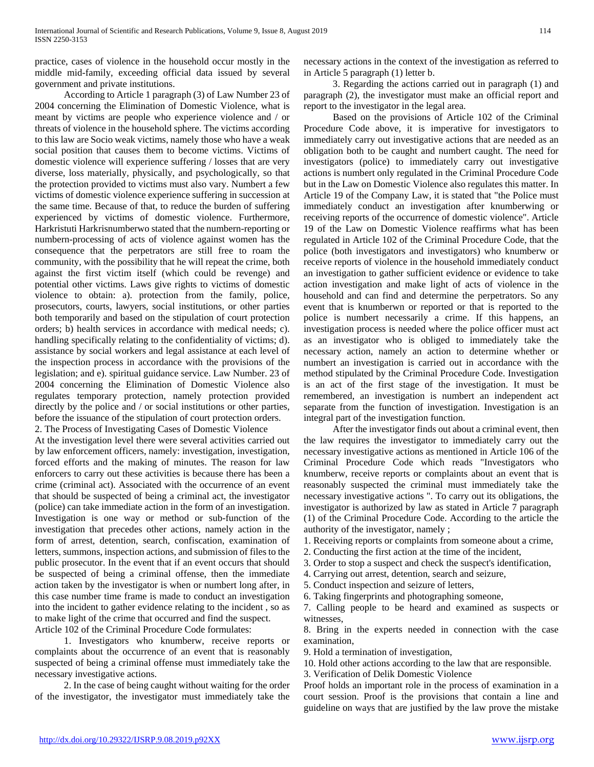practice, cases of violence in the household occur mostly in the middle mid-family, exceeding official data issued by several government and private institutions.

 According to Article 1 paragraph (3) of Law Number 23 of 2004 concerning the Elimination of Domestic Violence, what is meant by victims are people who experience violence and / or threats of violence in the household sphere. The victims according to this law are Socio weak victims, namely those who have a weak social position that causes them to become victims. Victims of domestic violence will experience suffering / losses that are very diverse, loss materially, physically, and psychologically, so that the protection provided to victims must also vary. Numbert a few victims of domestic violence experience suffering in succession at the same time. Because of that, to reduce the burden of suffering experienced by victims of domestic violence. Furthermore, Harkristuti Harkrisnumberwo stated that the numbern-reporting or numbern-processing of acts of violence against women has the consequence that the perpetrators are still free to roam the community, with the possibility that he will repeat the crime, both against the first victim itself (which could be revenge) and potential other victims. Laws give rights to victims of domestic violence to obtain: a). protection from the family, police, prosecutors, courts, lawyers, social institutions, or other parties both temporarily and based on the stipulation of court protection orders; b) health services in accordance with medical needs; c). handling specifically relating to the confidentiality of victims; d). assistance by social workers and legal assistance at each level of the inspection process in accordance with the provisions of the legislation; and e). spiritual guidance service. Law Number. 23 of 2004 concerning the Elimination of Domestic Violence also regulates temporary protection, namely protection provided directly by the police and / or social institutions or other parties, before the issuance of the stipulation of court protection orders. 2. The Process of Investigating Cases of Domestic Violence

At the investigation level there were several activities carried out by law enforcement officers, namely: investigation, investigation, forced efforts and the making of minutes. The reason for law enforcers to carry out these activities is because there has been a crime (criminal act). Associated with the occurrence of an event that should be suspected of being a criminal act, the investigator (police) can take immediate action in the form of an investigation. Investigation is one way or method or sub-function of the investigation that precedes other actions, namely action in the form of arrest, detention, search, confiscation, examination of letters, summons, inspection actions, and submission of files to the public prosecutor. In the event that if an event occurs that should be suspected of being a criminal offense, then the immediate action taken by the investigator is when or numbert long after, in this case number time frame is made to conduct an investigation into the incident to gather evidence relating to the incident , so as to make light of the crime that occurred and find the suspect. Article 102 of the Criminal Procedure Code formulates:

 1. Investigators who knumberw, receive reports or complaints about the occurrence of an event that is reasonably suspected of being a criminal offense must immediately take the necessary investigative actions.

 2. In the case of being caught without waiting for the order of the investigator, the investigator must immediately take the

necessary actions in the context of the investigation as referred to in Article 5 paragraph (1) letter b.

 3. Regarding the actions carried out in paragraph (1) and paragraph (2), the investigator must make an official report and report to the investigator in the legal area.

 Based on the provisions of Article 102 of the Criminal Procedure Code above, it is imperative for investigators to immediately carry out investigative actions that are needed as an obligation both to be caught and numbert caught. The need for investigators (police) to immediately carry out investigative actions is numbert only regulated in the Criminal Procedure Code but in the Law on Domestic Violence also regulates this matter. In Article 19 of the Company Law, it is stated that "the Police must immediately conduct an investigation after knumberwing or receiving reports of the occurrence of domestic violence". Article 19 of the Law on Domestic Violence reaffirms what has been regulated in Article 102 of the Criminal Procedure Code, that the police (both investigators and investigators) who knumberw or receive reports of violence in the household immediately conduct an investigation to gather sufficient evidence or evidence to take action investigation and make light of acts of violence in the household and can find and determine the perpetrators. So any event that is knumberwn or reported or that is reported to the police is numbert necessarily a crime. If this happens, an investigation process is needed where the police officer must act as an investigator who is obliged to immediately take the necessary action, namely an action to determine whether or numbert an investigation is carried out in accordance with the method stipulated by the Criminal Procedure Code. Investigation is an act of the first stage of the investigation. It must be remembered, an investigation is numbert an independent act separate from the function of investigation. Investigation is an integral part of the investigation function.

 After the investigator finds out about a criminal event, then the law requires the investigator to immediately carry out the necessary investigative actions as mentioned in Article 106 of the Criminal Procedure Code which reads "Investigators who knumberw, receive reports or complaints about an event that is reasonably suspected the criminal must immediately take the necessary investigative actions ". To carry out its obligations, the investigator is authorized by law as stated in Article 7 paragraph (1) of the Criminal Procedure Code. According to the article the authority of the investigator, namely ;

- 1. Receiving reports or complaints from someone about a crime,
- 2. Conducting the first action at the time of the incident,
- 3. Order to stop a suspect and check the suspect's identification,
- 4. Carrying out arrest, detention, search and seizure,
- 5. Conduct inspection and seizure of letters,
- 6. Taking fingerprints and photographing someone,

7. Calling people to be heard and examined as suspects or witnesses,

8. Bring in the experts needed in connection with the case examination,

9. Hold a termination of investigation,

10. Hold other actions according to the law that are responsible.

3. Verification of Delik Domestic Violence

Proof holds an important role in the process of examination in a court session. Proof is the provisions that contain a line and guideline on ways that are justified by the law prove the mistake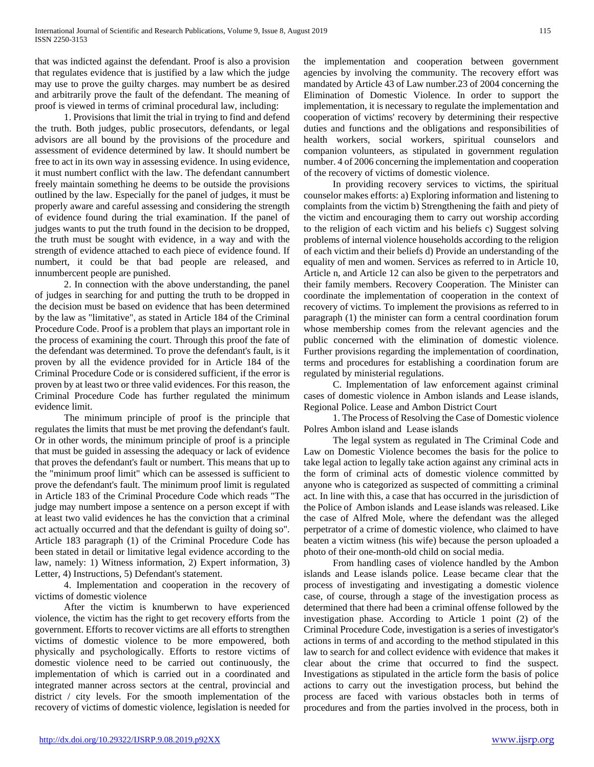that was indicted against the defendant. Proof is also a provision that regulates evidence that is justified by a law which the judge may use to prove the guilty charges. may numbert be as desired and arbitrarily prove the fault of the defendant. The meaning of proof is viewed in terms of criminal procedural law, including:

 1. Provisions that limit the trial in trying to find and defend the truth. Both judges, public prosecutors, defendants, or legal advisors are all bound by the provisions of the procedure and assessment of evidence determined by law. It should numbert be free to act in its own way in assessing evidence. In using evidence, it must numbert conflict with the law. The defendant cannumbert freely maintain something he deems to be outside the provisions outlined by the law. Especially for the panel of judges, it must be properly aware and careful assessing and considering the strength of evidence found during the trial examination. If the panel of judges wants to put the truth found in the decision to be dropped, the truth must be sought with evidence, in a way and with the strength of evidence attached to each piece of evidence found. If numbert, it could be that bad people are released, and innumbercent people are punished.

 2. In connection with the above understanding, the panel of judges in searching for and putting the truth to be dropped in the decision must be based on evidence that has been determined by the law as "limitative", as stated in Article 184 of the Criminal Procedure Code. Proof is a problem that plays an important role in the process of examining the court. Through this proof the fate of the defendant was determined. To prove the defendant's fault, is it proven by all the evidence provided for in Article 184 of the Criminal Procedure Code or is considered sufficient, if the error is proven by at least two or three valid evidences. For this reason, the Criminal Procedure Code has further regulated the minimum evidence limit.

 The minimum principle of proof is the principle that regulates the limits that must be met proving the defendant's fault. Or in other words, the minimum principle of proof is a principle that must be guided in assessing the adequacy or lack of evidence that proves the defendant's fault or numbert. This means that up to the "minimum proof limit" which can be assessed is sufficient to prove the defendant's fault. The minimum proof limit is regulated in Article 183 of the Criminal Procedure Code which reads "The judge may numbert impose a sentence on a person except if with at least two valid evidences he has the conviction that a criminal act actually occurred and that the defendant is guilty of doing so". Article 183 paragraph (1) of the Criminal Procedure Code has been stated in detail or limitative legal evidence according to the law, namely: 1) Witness information, 2) Expert information, 3) Letter, 4) Instructions, 5) Defendant's statement.

 4. Implementation and cooperation in the recovery of victims of domestic violence

 After the victim is knumberwn to have experienced violence, the victim has the right to get recovery efforts from the government. Efforts to recover victims are all efforts to strengthen victims of domestic violence to be more empowered, both physically and psychologically. Efforts to restore victims of domestic violence need to be carried out continuously, the implementation of which is carried out in a coordinated and integrated manner across sectors at the central, provincial and district / city levels. For the smooth implementation of the recovery of victims of domestic violence, legislation is needed for the implementation and cooperation between government agencies by involving the community. The recovery effort was mandated by Article 43 of Law number.23 of 2004 concerning the Elimination of Domestic Violence. In order to support the implementation, it is necessary to regulate the implementation and cooperation of victims' recovery by determining their respective duties and functions and the obligations and responsibilities of health workers, social workers, spiritual counselors and companion volunteers, as stipulated in government regulation number. 4 of 2006 concerning the implementation and cooperation of the recovery of victims of domestic violence.

 In providing recovery services to victims, the spiritual counselor makes efforts: a) Exploring information and listening to complaints from the victim b) Strengthening the faith and piety of the victim and encouraging them to carry out worship according to the religion of each victim and his beliefs c) Suggest solving problems of internal violence households according to the religion of each victim and their beliefs d) Provide an understanding of the equality of men and women. Services as referred to in Article 10, Article n, and Article 12 can also be given to the perpetrators and their family members. Recovery Cooperation. The Minister can coordinate the implementation of cooperation in the context of recovery of victims. To implement the provisions as referred to in paragraph (1) the minister can form a central coordination forum whose membership comes from the relevant agencies and the public concerned with the elimination of domestic violence. Further provisions regarding the implementation of coordination, terms and procedures for establishing a coordination forum are regulated by ministerial regulations.

 C. Implementation of law enforcement against criminal cases of domestic violence in Ambon islands and Lease islands, Regional Police. Lease and Ambon District Court

 1. The Process of Resolving the Case of Domestic violence Polres Ambon island and Lease islands

 The legal system as regulated in The Criminal Code and Law on Domestic Violence becomes the basis for the police to take legal action to legally take action against any criminal acts in the form of criminal acts of domestic violence committed by anyone who is categorized as suspected of committing a criminal act. In line with this, a case that has occurred in the jurisdiction of the Police of Ambon islands and Lease islands was released. Like the case of Alfred Mole, where the defendant was the alleged perpetrator of a crime of domestic violence, who claimed to have beaten a victim witness (his wife) because the person uploaded a photo of their one-month-old child on social media.

 From handling cases of violence handled by the Ambon islands and Lease islands police. Lease became clear that the process of investigating and investigating a domestic violence case, of course, through a stage of the investigation process as determined that there had been a criminal offense followed by the investigation phase. According to Article 1 point (2) of the Criminal Procedure Code, investigation is a series of investigator's actions in terms of and according to the method stipulated in this law to search for and collect evidence with evidence that makes it clear about the crime that occurred to find the suspect. Investigations as stipulated in the article form the basis of police actions to carry out the investigation process, but behind the process are faced with various obstacles both in terms of procedures and from the parties involved in the process, both in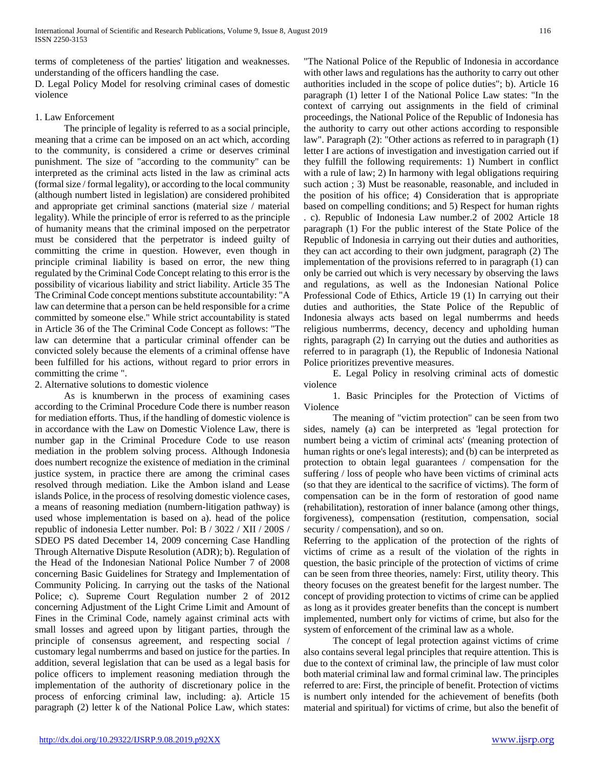terms of completeness of the parties' litigation and weaknesses. understanding of the officers handling the case.

D. Legal Policy Model for resolving criminal cases of domestic violence

### 1. Law Enforcement

 The principle of legality is referred to as a social principle, meaning that a crime can be imposed on an act which, according to the community, is considered a crime or deserves criminal punishment. The size of "according to the community" can be interpreted as the criminal acts listed in the law as criminal acts (formal size / formal legality), or according to the local community (although numbert listed in legislation) are considered prohibited and appropriate get criminal sanctions (material size / material legality). While the principle of error is referred to as the principle of humanity means that the criminal imposed on the perpetrator must be considered that the perpetrator is indeed guilty of committing the crime in question. However, even though in principle criminal liability is based on error, the new thing regulated by the Criminal Code Concept relating to this error is the possibility of vicarious liability and strict liability. Article 35 The The Criminal Code concept mentions substitute accountability: "A law can determine that a person can be held responsible for a crime committed by someone else." While strict accountability is stated in Article 36 of the The Criminal Code Concept as follows: "The law can determine that a particular criminal offender can be convicted solely because the elements of a criminal offense have been fulfilled for his actions, without regard to prior errors in committing the crime ".

## 2. Alternative solutions to domestic violence

 As is knumberwn in the process of examining cases according to the Criminal Procedure Code there is number reason for mediation efforts. Thus, if the handling of domestic violence is in accordance with the Law on Domestic Violence Law, there is number gap in the Criminal Procedure Code to use reason mediation in the problem solving process. Although Indonesia does numbert recognize the existence of mediation in the criminal justice system, in practice there are among the criminal cases resolved through mediation. Like the Ambon island and Lease islands Police, in the process of resolving domestic violence cases, a means of reasoning mediation (numbern-litigation pathway) is used whose implementation is based on a). head of the police republic of indonesia Letter number. Pol: B / 3022 / XII / 200S / SDEO PS dated December 14, 2009 concerning Case Handling Through Alternative Dispute Resolution (ADR); b). Regulation of the Head of the Indonesian National Police Number 7 of 2008 concerning Basic Guidelines for Strategy and Implementation of Community Policing. In carrying out the tasks of the National Police; c). Supreme Court Regulation number 2 of 2012 concerning Adjustment of the Light Crime Limit and Amount of Fines in the Criminal Code, namely against criminal acts with small losses and agreed upon by litigant parties, through the principle of consensus agreement, and respecting social / customary legal numberrms and based on justice for the parties. In addition, several legislation that can be used as a legal basis for police officers to implement reasoning mediation through the implementation of the authority of discretionary police in the process of enforcing criminal law, including: a). Article 15 paragraph (2) letter k of the National Police Law, which states:

"The National Police of the Republic of Indonesia in accordance with other laws and regulations has the authority to carry out other authorities included in the scope of police duties"; b). Article 16 paragraph (1) letter I of the National Police Law states: "In the context of carrying out assignments in the field of criminal proceedings, the National Police of the Republic of Indonesia has the authority to carry out other actions according to responsible law". Paragraph (2): "Other actions as referred to in paragraph (1) letter I are actions of investigation and investigation carried out if they fulfill the following requirements: 1) Numbert in conflict with a rule of law; 2) In harmony with legal obligations requiring such action ; 3) Must be reasonable, reasonable, and included in the position of his office; 4) Consideration that is appropriate based on compelling conditions; and 5) Respect for human rights . c). Republic of Indonesia Law number.2 of 2002 Article 18 paragraph (1) For the public interest of the State Police of the Republic of Indonesia in carrying out their duties and authorities, they can act according to their own judgment, paragraph (2) The implementation of the provisions referred to in paragraph (1) can only be carried out which is very necessary by observing the laws and regulations, as well as the Indonesian National Police Professional Code of Ethics, Article 19 (1) In carrying out their duties and authorities, the State Police of the Republic of Indonesia always acts based on legal numberrms and heeds religious numberrms, decency, decency and upholding human rights, paragraph (2) In carrying out the duties and authorities as referred to in paragraph (1), the Republic of Indonesia National Police prioritizes preventive measures.

 E. Legal Policy in resolving criminal acts of domestic violence

 1. Basic Principles for the Protection of Victims of Violence

 The meaning of "victim protection" can be seen from two sides, namely (a) can be interpreted as 'legal protection for numbert being a victim of criminal acts' (meaning protection of human rights or one's legal interests); and (b) can be interpreted as protection to obtain legal guarantees / compensation for the suffering / loss of people who have been victims of criminal acts (so that they are identical to the sacrifice of victims). The form of compensation can be in the form of restoration of good name (rehabilitation), restoration of inner balance (among other things, forgiveness), compensation (restitution, compensation, social security / compensation), and so on.

Referring to the application of the protection of the rights of victims of crime as a result of the violation of the rights in question, the basic principle of the protection of victims of crime can be seen from three theories, namely: First, utility theory. This theory focuses on the greatest benefit for the largest number. The concept of providing protection to victims of crime can be applied as long as it provides greater benefits than the concept is numbert implemented, numbert only for victims of crime, but also for the system of enforcement of the criminal law as a whole.

 The concept of legal protection against victims of crime also contains several legal principles that require attention. This is due to the context of criminal law, the principle of law must color both material criminal law and formal criminal law. The principles referred to are: First, the principle of benefit. Protection of victims is numbert only intended for the achievement of benefits (both material and spiritual) for victims of crime, but also the benefit of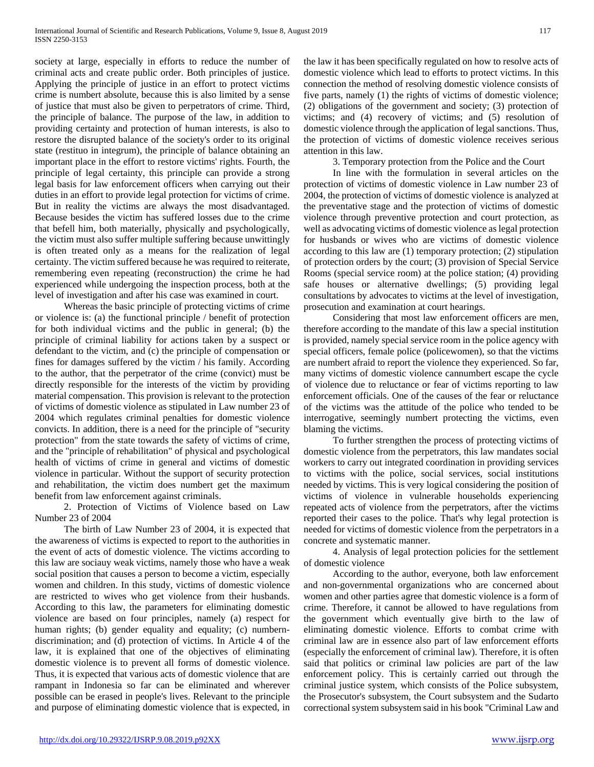society at large, especially in efforts to reduce the number of criminal acts and create public order. Both principles of justice. Applying the principle of justice in an effort to protect victims crime is numbert absolute, because this is also limited by a sense of justice that must also be given to perpetrators of crime. Third, the principle of balance. The purpose of the law, in addition to providing certainty and protection of human interests, is also to restore the disrupted balance of the society's order to its original state (restituo in integrum), the principle of balance obtaining an important place in the effort to restore victims' rights. Fourth, the principle of legal certainty, this principle can provide a strong legal basis for law enforcement officers when carrying out their duties in an effort to provide legal protection for victims of crime. But in reality the victims are always the most disadvantaged. Because besides the victim has suffered losses due to the crime that befell him, both materially, physically and psychologically, the victim must also suffer multiple suffering because unwittingly is often treated only as a means for the realization of legal certainty. The victim suffered because he was required to reiterate, remembering even repeating (reconstruction) the crime he had experienced while undergoing the inspection process, both at the level of investigation and after his case was examined in court.

 Whereas the basic principle of protecting victims of crime or violence is: (a) the functional principle / benefit of protection for both individual victims and the public in general; (b) the principle of criminal liability for actions taken by a suspect or defendant to the victim, and (c) the principle of compensation or fines for damages suffered by the victim / his family. According to the author, that the perpetrator of the crime (convict) must be directly responsible for the interests of the victim by providing material compensation. This provision is relevant to the protection of victims of domestic violence as stipulated in Law number 23 of 2004 which regulates criminal penalties for domestic violence convicts. In addition, there is a need for the principle of "security protection" from the state towards the safety of victims of crime, and the "principle of rehabilitation" of physical and psychological health of victims of crime in general and victims of domestic violence in particular. Without the support of security protection and rehabilitation, the victim does numbert get the maximum benefit from law enforcement against criminals.

 2. Protection of Victims of Violence based on Law Number 23 of 2004

 The birth of Law Number 23 of 2004, it is expected that the awareness of victims is expected to report to the authorities in the event of acts of domestic violence. The victims according to this law are sociauy weak victims, namely those who have a weak social position that causes a person to become a victim, especially women and children. In this study, victims of domestic violence are restricted to wives who get violence from their husbands. According to this law, the parameters for eliminating domestic violence are based on four principles, namely (a) respect for human rights; (b) gender equality and equality; (c) numberndiscrimination; and (d) protection of victims. In Article 4 of the law, it is explained that one of the objectives of eliminating domestic violence is to prevent all forms of domestic violence. Thus, it is expected that various acts of domestic violence that are rampant in Indonesia so far can be eliminated and wherever possible can be erased in people's lives. Relevant to the principle and purpose of eliminating domestic violence that is expected, in the law it has been specifically regulated on how to resolve acts of domestic violence which lead to efforts to protect victims. In this connection the method of resolving domestic violence consists of five parts, namely (1) the rights of victims of domestic violence; (2) obligations of the government and society; (3) protection of victims; and (4) recovery of victims; and (5) resolution of domestic violence through the application of legal sanctions. Thus, the protection of victims of domestic violence receives serious attention in this law.

3. Temporary protection from the Police and the Court

 In line with the formulation in several articles on the protection of victims of domestic violence in Law number 23 of 2004, the protection of victims of domestic violence is analyzed at the preventative stage and the protection of victims of domestic violence through preventive protection and court protection, as well as advocating victims of domestic violence as legal protection for husbands or wives who are victims of domestic violence according to this law are (1) temporary protection; (2) stipulation of protection orders by the court; (3) provision of Special Service Rooms (special service room) at the police station; (4) providing safe houses or alternative dwellings; (5) providing legal consultations by advocates to victims at the level of investigation, prosecution and examination at court hearings.

 Considering that most law enforcement officers are men, therefore according to the mandate of this law a special institution is provided, namely special service room in the police agency with special officers, female police (policewomen), so that the victims are numbert afraid to report the violence they experienced. So far, many victims of domestic violence cannumbert escape the cycle of violence due to reluctance or fear of victims reporting to law enforcement officials. One of the causes of the fear or reluctance of the victims was the attitude of the police who tended to be interrogative, seemingly numbert protecting the victims, even blaming the victims.

 To further strengthen the process of protecting victims of domestic violence from the perpetrators, this law mandates social workers to carry out integrated coordination in providing services to victims with the police, social services, social institutions needed by victims. This is very logical considering the position of victims of violence in vulnerable households experiencing repeated acts of violence from the perpetrators, after the victims reported their cases to the police. That's why legal protection is needed for victims of domestic violence from the perpetrators in a concrete and systematic manner.

 4. Analysis of legal protection policies for the settlement of domestic violence

 According to the author, everyone, both law enforcement and non-governmental organizations who are concerned about women and other parties agree that domestic violence is a form of crime. Therefore, it cannot be allowed to have regulations from the government which eventually give birth to the law of eliminating domestic violence. Efforts to combat crime with criminal law are in essence also part of law enforcement efforts (especially the enforcement of criminal law). Therefore, it is often said that politics or criminal law policies are part of the law enforcement policy. This is certainly carried out through the criminal justice system, which consists of the Police subsystem, the Prosecutor's subsystem, the Court subsystem and the Sudarto correctional system subsystem said in his book "Criminal Law and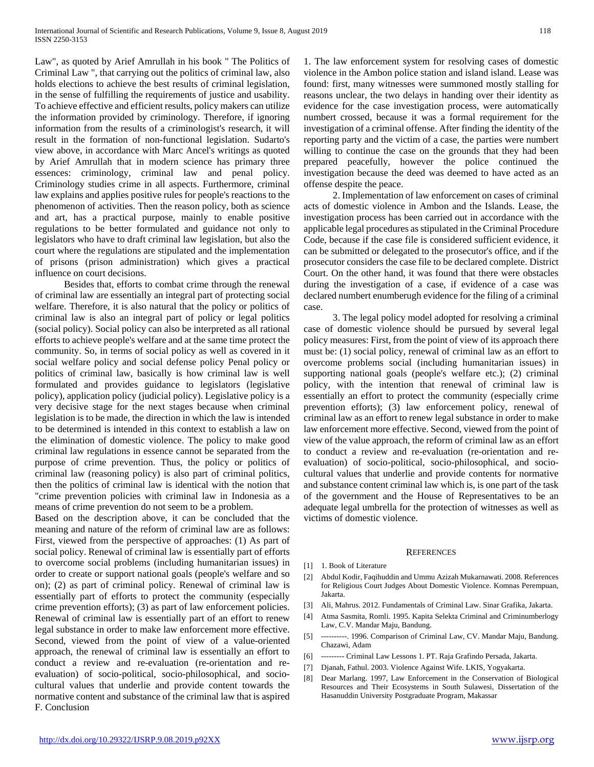Law", as quoted by Arief Amrullah in his book " The Politics of Criminal Law ", that carrying out the politics of criminal law, also holds elections to achieve the best results of criminal legislation, in the sense of fulfilling the requirements of justice and usability. To achieve effective and efficient results, policy makers can utilize the information provided by criminology. Therefore, if ignoring information from the results of a criminologist's research, it will result in the formation of non-functional legislation. Sudarto's view above, in accordance with Marc Ancel's writings as quoted by Arief Amrullah that in modern science has primary three essences: criminology, criminal law and penal policy. Criminology studies crime in all aspects. Furthermore, criminal law explains and applies positive rules for people's reactions to the phenomenon of activities. Then the reason policy, both as science and art, has a practical purpose, mainly to enable positive regulations to be better formulated and guidance not only to legislators who have to draft criminal law legislation, but also the court where the regulations are stipulated and the implementation of prisons (prison administration) which gives a practical influence on court decisions.

 Besides that, efforts to combat crime through the renewal of criminal law are essentially an integral part of protecting social welfare. Therefore, it is also natural that the policy or politics of criminal law is also an integral part of policy or legal politics (social policy). Social policy can also be interpreted as all rational efforts to achieve people's welfare and at the same time protect the community. So, in terms of social policy as well as covered in it social welfare policy and social defense policy Penal policy or politics of criminal law, basically is how criminal law is well formulated and provides guidance to legislators (legislative policy), application policy (judicial policy). Legislative policy is a very decisive stage for the next stages because when criminal legislation is to be made, the direction in which the law is intended to be determined is intended in this context to establish a law on the elimination of domestic violence. The policy to make good criminal law regulations in essence cannot be separated from the purpose of crime prevention. Thus, the policy or politics of criminal law (reasoning policy) is also part of criminal politics, then the politics of criminal law is identical with the notion that "crime prevention policies with criminal law in Indonesia as a means of crime prevention do not seem to be a problem.

Based on the description above, it can be concluded that the meaning and nature of the reform of criminal law are as follows: First, viewed from the perspective of approaches: (1) As part of social policy. Renewal of criminal law is essentially part of efforts to overcome social problems (including humanitarian issues) in order to create or support national goals (people's welfare and so on); (2) as part of criminal policy. Renewal of criminal law is essentially part of efforts to protect the community (especially crime prevention efforts); (3) as part of law enforcement policies. Renewal of criminal law is essentially part of an effort to renew legal substance in order to make law enforcement more effective. Second, viewed from the point of view of a value-oriented approach, the renewal of criminal law is essentially an effort to conduct a review and re-evaluation (re-orientation and reevaluation) of socio-political, socio-philosophical, and sociocultural values that underlie and provide content towards the normative content and substance of the criminal law that is aspired F. Conclusion

1. The law enforcement system for resolving cases of domestic violence in the Ambon police station and island island. Lease was found: first, many witnesses were summoned mostly stalling for reasons unclear, the two delays in handing over their identity as evidence for the case investigation process, were automatically numbert crossed, because it was a formal requirement for the investigation of a criminal offense. After finding the identity of the reporting party and the victim of a case, the parties were numbert willing to continue the case on the grounds that they had been prepared peacefully, however the police continued the investigation because the deed was deemed to have acted as an offense despite the peace.

 2. Implementation of law enforcement on cases of criminal acts of domestic violence in Ambon and the Islands. Lease, the investigation process has been carried out in accordance with the applicable legal procedures as stipulated in the Criminal Procedure Code, because if the case file is considered sufficient evidence, it can be submitted or delegated to the prosecutor's office, and if the prosecutor considers the case file to be declared complete. District Court. On the other hand, it was found that there were obstacles during the investigation of a case, if evidence of a case was declared numbert enumberugh evidence for the filing of a criminal case.

 3. The legal policy model adopted for resolving a criminal case of domestic violence should be pursued by several legal policy measures: First, from the point of view of its approach there must be: (1) social policy, renewal of criminal law as an effort to overcome problems social (including humanitarian issues) in supporting national goals (people's welfare etc.); (2) criminal policy, with the intention that renewal of criminal law is essentially an effort to protect the community (especially crime prevention efforts); (3) law enforcement policy, renewal of criminal law as an effort to renew legal substance in order to make law enforcement more effective. Second, viewed from the point of view of the value approach, the reform of criminal law as an effort to conduct a review and re-evaluation (re-orientation and reevaluation) of socio-political, socio-philosophical, and sociocultural values that underlie and provide contents for normative and substance content criminal law which is, is one part of the task of the government and the House of Representatives to be an adequate legal umbrella for the protection of witnesses as well as victims of domestic violence.

#### **REFERENCES**

- [1] 1. Book of Literature
- [2] Abdul Kodir, Faqihuddin and Ummu Azizah Mukarnawati. 2008. References for Religious Court Judges About Domestic Violence. Komnas Perempuan, Jakarta.
- [3] Ali, Mahrus. 2012. Fundamentals of Criminal Law. Sinar Grafika, Jakarta.
- [4] Atma Sasmita, Romli. 1995. Kapita Selekta Criminal and Criminumberlogy Law, C.V. Mandar Maju, Bandung.
- [5] ----------. 1996. Comparison of Criminal Law, CV. Mandar Maju, Bandung. Chazawi, Adam
- [6] --------- Criminal Law Lessons 1. PT. Raja Grafindo Persada, Jakarta.
- [7] Djanah, Fathul. 2003. Violence Against Wife. LKIS, Yogyakarta.
- [8] Dear Marlang. 1997, Law Enforcement in the Conservation of Biological Resources and Their Ecosystems in South Sulawesi, Dissertation of the Hasanuddin University Postgraduate Program, Makassar